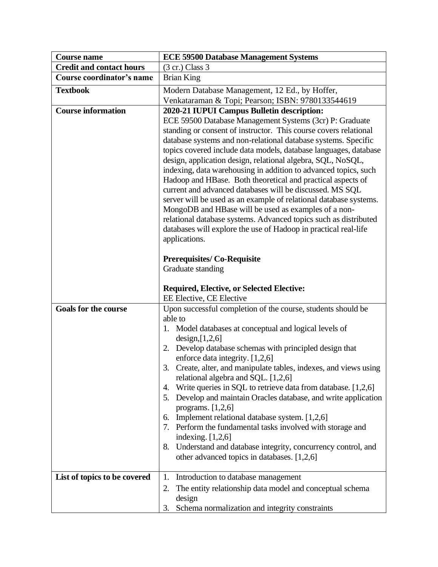| <b>Course name</b>              | <b>ECE 59500 Database Management Systems</b>                                                                                                                                                                                                                                                                                                                                                                                                                                                                                                                                                                                                                                                                                                                                                        |
|---------------------------------|-----------------------------------------------------------------------------------------------------------------------------------------------------------------------------------------------------------------------------------------------------------------------------------------------------------------------------------------------------------------------------------------------------------------------------------------------------------------------------------------------------------------------------------------------------------------------------------------------------------------------------------------------------------------------------------------------------------------------------------------------------------------------------------------------------|
| <b>Credit and contact hours</b> | $(3 \text{ cr.})$ Class 3                                                                                                                                                                                                                                                                                                                                                                                                                                                                                                                                                                                                                                                                                                                                                                           |
| Course coordinator's name       | <b>Brian King</b>                                                                                                                                                                                                                                                                                                                                                                                                                                                                                                                                                                                                                                                                                                                                                                                   |
| <b>Textbook</b>                 | Modern Database Management, 12 Ed., by Hoffer,                                                                                                                                                                                                                                                                                                                                                                                                                                                                                                                                                                                                                                                                                                                                                      |
|                                 | Venkataraman & Topi; Pearson; ISBN: 9780133544619                                                                                                                                                                                                                                                                                                                                                                                                                                                                                                                                                                                                                                                                                                                                                   |
| <b>Course information</b>       | 2020-21 IUPUI Campus Bulletin description:<br>ECE 59500 Database Management Systems (3cr) P: Graduate<br>standing or consent of instructor. This course covers relational<br>database systems and non-relational database systems. Specific<br>topics covered include data models, database languages, database<br>design, application design, relational algebra, SQL, NoSQL,<br>indexing, data warehousing in addition to advanced topics, such<br>Hadoop and HBase. Both theoretical and practical aspects of<br>current and advanced databases will be discussed. MS SQL<br>server will be used as an example of relational database systems.<br>MongoDB and HBase will be used as examples of a non-<br>relational database systems. Advanced topics such as distributed                       |
|                                 | databases will explore the use of Hadoop in practical real-life<br>applications.<br><b>Prerequisites/Co-Requisite</b><br>Graduate standing<br><b>Required, Elective, or Selected Elective:</b><br>EE Elective, CE Elective                                                                                                                                                                                                                                                                                                                                                                                                                                                                                                                                                                          |
| <b>Goals for the course</b>     | Upon successful completion of the course, students should be<br>able to<br>1. Model databases at conceptual and logical levels of<br>design,[1,2,6]<br>Develop database schemas with principled design that<br>2.<br>enforce data integrity. [1,2,6]<br>3. Create, alter, and manipulate tables, indexes, and views using<br>relational algebra and SQL. [1,2,6]<br>Write queries in SQL to retrieve data from database. [1,2,6]<br>4.<br>Develop and maintain Oracles database, and write application<br>5.<br>programs. $[1,2,6]$<br>Implement relational database system. [1,2,6]<br>6.<br>7. Perform the fundamental tasks involved with storage and<br>indexing. $[1,2,6]$<br>Understand and database integrity, concurrency control, and<br>8.<br>other advanced topics in databases. [1,2,6] |
| List of topics to be covered    | Introduction to database management<br>1.<br>The entity relationship data model and conceptual schema<br>2.<br>design<br>Schema normalization and integrity constraints<br>3.                                                                                                                                                                                                                                                                                                                                                                                                                                                                                                                                                                                                                       |